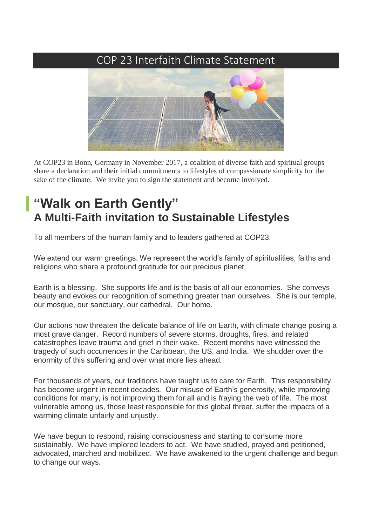## [COP 23 Interfaith Climate Statement](http://www.interfaithclimatestatement.org/)



At COP23 in Bonn, Germany in November 2017, a coalition of diverse faith and spiritual groups share a declaration and their initial commitments to lifestyles of compassionate simplicity for the sake of the climate. We invite you to sign the statement and become involved.

## **"Walk on Earth Gently" A Multi-Faith invitation to Sustainable Lifestyles**

To all members of the human family and to leaders gathered at COP23:

We extend our warm greetings. We represent the world's family of spiritualities, faiths and religions who share a profound gratitude for our precious planet.

Earth is a blessing. She supports life and is the basis of all our economies. She conveys beauty and evokes our recognition of something greater than ourselves. She is our temple, our mosque, our sanctuary, our cathedral. Our home.

Our actions now threaten the delicate balance of life on Earth, with climate change posing a most grave danger. Record numbers of severe storms, droughts, fires, and related catastrophes leave trauma and grief in their wake. Recent months have witnessed the tragedy of such occurrences in the Caribbean, the US, and India. We shudder over the enormity of this suffering and over what more lies ahead.

For thousands of years, our traditions have taught us to care for Earth. This responsibility has become urgent in recent decades. Our misuse of Earth's generosity, while improving conditions for many, is not improving them for all and is fraying the web of life. The most vulnerable among us, those least responsible for this global threat, suffer the impacts of a warming climate unfairly and unjustly.

We have begun to respond, raising consciousness and starting to consume more sustainably. We have implored leaders to act. We have studied, prayed and petitioned, advocated, marched and mobilized. We have awakened to the urgent challenge and begun to change our ways.